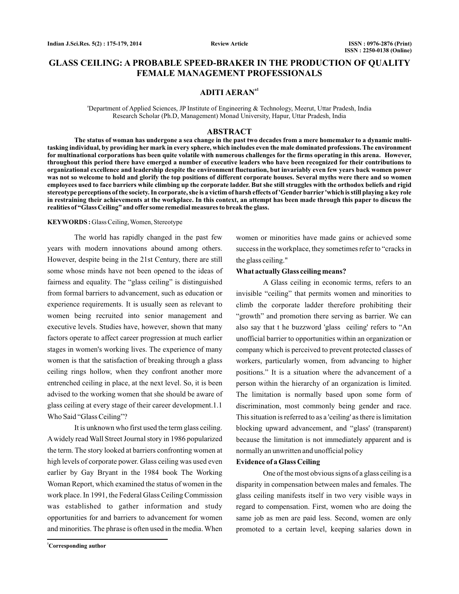# **GLASS CEILING: A PROBABLE SPEED-BRAKER IN THE PRODUCTION OF QUALITY FEMALE MANAGEMENT PROFESSIONALS**

# **ADITI AERANa1**

<sup>a</sup>Department of Applied Sciences, JP Institute of Engineering & Technology, Meerut, Uttar Pradesh, India Research Scholar (Ph.D, Management) Monad University, Hapur, Uttar Pradesh, India

## **ABSTRACT**

**The status of woman has undergone a sea change in the past two decades from a mere homemaker to a dynamic multitasking individual, by providing her mark in every sphere, which includes even the male dominated professions. The environment for multinational corporations has been quite volatile with numerous challenges for the firms operating in this arena. However, throughout this period there have emerged a number of executive leaders who have been recognized for their contributions to organizational excellence and leadership despite the environment fluctuation, but invariably even few years back women power was not so welcome to hold and glorify the top positions of different corporate houses. Several myths were there and so women employees used to face barriers while climbing up the corporate ladder. But she still struggles with the orthodox beliefs and rigid stereotype perceptions of the society. In corporate, she is a victim of harsh effects of 'Gender barrier 'which is still playing a key role in restraining their achievements at the workplace. In this context, an attempt has been made through this paper to discuss the realities of "Glass Ceiling" and offer some remedial measures to break the glass.**

#### **KEYWORDS :** Glass Ceiling, Women, Stereotype

The world has rapidly changed in the past few years with modern innovations abound among others. However, despite being in the 21st Century, there are still some whose minds have not been opened to the ideas of fairness and equality. The "glass ceiling" is distinguished from formal barriers to advancement, such as education or experience requirements. It is usually seen as relevant to women being recruited into senior management and executive levels. Studies have, however, shown that many factors operate to affect career progression at much earlier stages in women's working lives. The experience of many women is that the satisfaction of breaking through a glass ceiling rings hollow, when they confront another more entrenched ceiling in place, at the next level. So, it is been advised to the working women that she should be aware of glass ceiling at every stage of their career development.1.1 Who Said "Glass Ceiling"?

It is unknown who first used the term glass ceiling. A widely read Wall Street Journal story in 1986 popularized the term. The story looked at barriers confronting women at high levels of corporate power. Glass ceiling was used even earlier by Gay Bryant in the 1984 book The Working Woman Report, which examined the status of women in the work place. In 1991, the Federal Glass Ceiling Commission was established to gather information and study opportunities for and barriers to advancement for women and minorities. The phrase is often used in the media. When women or minorities have made gains or achieved some success in the workplace, they sometimes refer to "cracks in the glass ceiling."

#### **What actually Glass ceiling means?**

A Glass ceiling in economic terms, refers to an invisible "ceiling" that permits women and minorities to climb the corporate ladder therefore prohibiting their "growth" and promotion there serving as barrier. We can also say that t he buzzword 'glass ceiling' refers to "An unofficial barrier to opportunities within an organization or company which is perceived to prevent protected classes of workers, particularly women, from advancing to higher positions." It is a situation where the advancement of a person within the hierarchy of an organization is limited. The limitation is normally based upon some form of discrimination, most commonly being gender and race. This situation is referred to as a 'ceiling' as there is limitation blocking upward advancement, and "glass' (transparent) because the limitation is not immediately apparent and is normally an unwritten and unofficial policy

#### **Evidence of a Glass Ceiling**

One of the most obvious signs of a glass ceiling is a disparity in compensation between males and females. The glass ceiling manifests itself in two very visible ways in regard to compensation. First, women who are doing the same job as men are paid less. Second, women are only promoted to a certain level, keeping salaries down in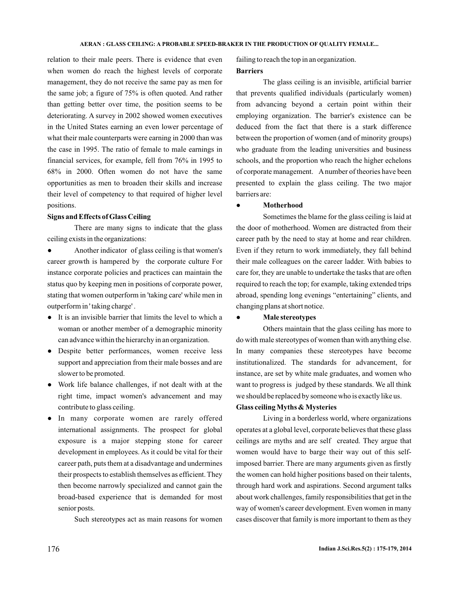relation to their male peers. There is evidence that even when women do reach the highest levels of corporate management, they do not receive the same pay as men for the same job; a figure of 75% is often quoted. And rather than getting better over time, the position seems to be deteriorating. A survey in 2002 showed women executives in the United States earning an even lower percentage of what their male counterparts were earning in 2000 than was the case in 1995. The ratio of female to male earnings in financial services, for example, fell from 76% in 1995 to 68% in 2000. Often women do not have the same opportunities as men to broaden their skills and increase their level of competency to that required of higher level positions.

#### **Signs and Effects of Glass Ceiling**

There are many signs to indicate that the glass ceiling exists in the organizations:

Another indicator of glass ceiling is that women's career growth is hampered by the corporate culture For instance corporate policies and practices can maintain the status quo by keeping men in positions of corporate power, stating that women outperform in 'taking care' while men in outperform in ' taking charge' . ●

- It is an invisible barrier that limits the level to which a woman or another member of a demographic minority can advance within the hierarchy in an organization.
- Despite better performances, women receive less support and appreciation from their male bosses and are slower to be promoted.
- Work life balance challenges, if not dealt with at the right time, impact women's advancement and may contribute to glass ceiling.
- In many corporate women are rarely offered international assignments. The prospect for global exposure is a major stepping stone for career development in employees. As it could be vital for their career path, puts them at a disadvantage and undermines their prospects to establish themselves as efficient. They then become narrowly specialized and cannot gain the broad-based experience that is demanded for most senior posts.

Such stereotypes act as main reasons for women

failing to reach the top in an organization. **Barriers**

The glass ceiling is an invisible, artificial barrier that prevents qualified individuals (particularly women) from advancing beyond a certain point within their employing organization. The barrier's existence can be deduced from the fact that there is a stark difference between the proportion of women (and of minority groups) who graduate from the leading universities and business schools, and the proportion who reach the higher echelons of corporate management. Anumber of theories have been presented to explain the glass ceiling. The two major barriers are:

#### $\ddot{\phantom{a}}$ **Motherhood**

Sometimes the blame for the glass ceiling is laid at the door of motherhood. Women are distracted from their career path by the need to stay at home and rear children. Even if they return to work immediately, they fall behind their male colleagues on the career ladder. With babies to care for, they are unable to undertake the tasks that are often required to reach the top; for example, taking extended trips abroad, spending long evenings "entertaining" clients, and changing plans at short notice.

#### ● **Male stereotypes**

Others maintain that the glass ceiling has more to do with male stereotypes of women than with anything else. In many companies these stereotypes have become institutionalized. The standards for advancement, for instance, are set by white male graduates, and women who want to progress is judged by these standards. We all think we should be replaced by someone who is exactly like us.

### **Glass ceiling Myths & Mysteries**

Living in a borderless world, where organizations operates at a global level, corporate believes that these glass ceilings are myths and are self created. They argue that women would have to barge their way out of this selfimposed barrier. There are many arguments given as firstly the women can hold higher positions based on their talents, through hard work and aspirations. Second argument talks about work challenges, family responsibilities that get in the way of women's career development. Even women in many cases discover that family is more important to them as they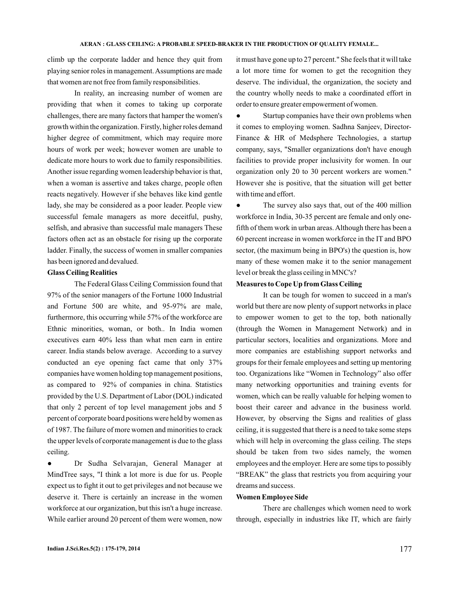climb up the corporate ladder and hence they quit from playing senior roles in management. Assumptions are made that women are not free from family responsibilities.

In reality, an increasing number of women are providing that when it comes to taking up corporate challenges, there are many factors that hamper the women's growth within the organization. Firstly, higher roles demand higher degree of commitment, which may require more hours of work per week; however women are unable to dedicate more hours to work due to family responsibilities. Another issue regarding women leadership behavior is that, when a woman is assertive and takes charge, people often reacts negatively. However if she behaves like kind gentle lady, she may be considered as a poor leader. People view successful female managers as more deceitful, pushy, selfish, and abrasive than successful male managers These factors often act as an obstacle for rising up the corporate ladder. Finally, the success of women in smaller companies has been ignored and devalued.

#### **Glass Ceiling Realities**

The Federal Glass Ceiling Commission found that 97% of the senior managers of the Fortune 1000 Industrial and Fortune 500 are white, and 95-97% are male, furthermore, this occurring while 57% of the workforce are Ethnic minorities, woman, or both.. In India women executives earn 40% less than what men earn in entire career. India stands below average. According to a survey conducted an eye opening fact came that only 37% companies have women holding top management positions, as compared to 92% of companies in china. Statistics provided by the U.S. Department of Labor (DOL) indicated that only 2 percent of top level management jobs and 5 percent of corporate board positions were held by women as of 1987. The failure of more women and minorities to crack the upper levels of corporate management is due to the glass ceiling.

● Dr Sudha Selvarajan, General Manager at MindTree says, "I think a lot more is due for us. People expect us to fight it out to get privileges and not because we deserve it. There is certainly an increase in the women workforce at our organization, but this isn't a huge increase. While earlier around 20 percent of them were women, now it must have gone up to 27 percent." She feels that it will take a lot more time for women to get the recognition they deserve. The individual, the organization, the society and the country wholly needs to make a coordinated effort in order to ensure greater empowerment of women.

• Startup companies have their own problems when it comes to employing women. Sadhna Sanjeev, Director-Finance & HR of Medsphere Technologies, a startup company, says, "Smaller organizations don't have enough facilities to provide proper inclusivity for women. In our organization only 20 to 30 percent workers are women." However she is positive, that the situation will get better with time and effort.

The survey also says that, out of the 400 million workforce in India, 30-35 percent are female and only onefifth of them work in urban areas. Although there has been a 60 percent increase in women workforce in the IT and BPO sector, (the maximum being in BPO's) the question is, how many of these women make it to the senior management level or break the glass ceiling in MNC's?

## **Measures to Cope Up from Glass Ceiling**

It can be tough for women to succeed in a man's world but there are now plenty of support networks in place to empower women to get to the top, both nationally (through the Women in Management Network) and in particular sectors, localities and organizations. More and more companies are establishing support networks and groups for their female employees and setting up mentoring too. Organizations like "Women in Technology" also offer many networking opportunities and training events for women, which can be really valuable for helping women to boost their career and advance in the business world. However, by observing the Signs and realities of glass ceiling, it is suggested that there is a need to take some steps which will help in overcoming the glass ceiling. The steps should be taken from two sides namely, the women employees and the employer. Here are some tips to possibly "BREAK" the glass that restricts you from acquiring your dreams and success.

#### **Women Employee Side**

There are challenges which women need to work through, especially in industries like IT, which are fairly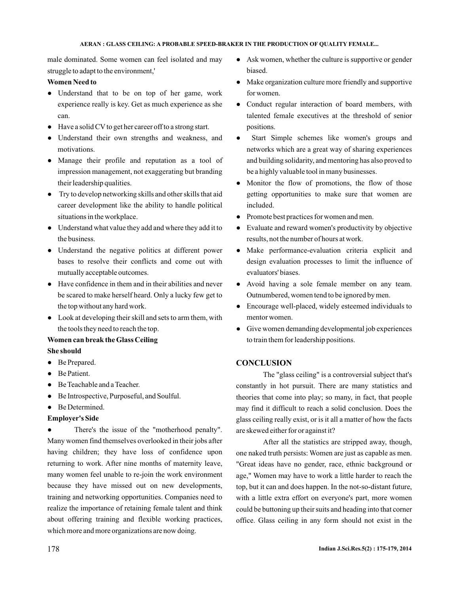male dominated. Some women can feel isolated and may struggle to adapt to the environment,'

# **Women Need to**

- Understand that to be on top of her game, work experience really is key. Get as much experience as she can.
- Have a solid CV to get her career off to a strong start.
- Understand their own strengths and weakness, and motivations.
- Manage their profile and reputation as a tool of impression management, not exaggerating but branding their leadership qualities.
- Try to develop networking skills and other skills that aid career development like the ability to handle political situations in the workplace.
- Understand what value they add and where they add it to the business.
- Understand the negative politics at different power bases to resolve their conflicts and come out with mutually acceptable outcomes.
- Have confidence in them and in their abilities and never be scared to make herself heard. Only a lucky few get to the top without any hard work.
- Look at developing their skill and sets to arm them, with the tools they need to reach the top.

#### **Women can break the Glass Ceiling**

# **She should**

- Be Prepared.
- Be Patient.
- Be Teachable and a Teacher.
- Be Introspective, Purposeful, and Soulful.

# ● Be Determined.

## **Employer's Side**

There's the issue of the "motherhood penalty". Many women find themselves overlooked in their jobs after having children; they have loss of confidence upon returning to work. After nine months of maternity leave, many women feel unable to re-join the work environment because they have missed out on new developments, training and networking opportunities. Companies need to realize the importance of retaining female talent and think about offering training and flexible working practices, which more and more organizations are now doing.

- Ask women, whether the culture is supportive or gender biased.
- Make organization culture more friendly and supportive for women.
- Conduct regular interaction of board members, with talented female executives at the threshold of senior positions.
- Start Simple schemes like women's groups and networks which are a great way of sharing experiences and building solidarity, and mentoring has also proved to be a highly valuable tool in many businesses.
- Monitor the flow of promotions, the flow of those getting opportunities to make sure that women are included.
- Promote best practices for women and men.
- Evaluate and reward women's productivity by objective results, not the number of hours at work.
- Make performance-evaluation criteria explicit and design evaluation processes to limit the influence of evaluators' biases.
- Avoid having a sole female member on any team. Outnumbered, women tend to be ignored by men.
- Encourage well-placed, widely esteemed individuals to mentor women.
- Give women demanding developmental job experiences to train them for leadership positions.

# **CONCLUSION**

The "glass ceiling" is a controversial subject that's constantly in hot pursuit. There are many statistics and theories that come into play; so many, in fact, that people may find it difficult to reach a solid conclusion. Does the glass ceiling really exist, or is it all a matter of how the facts are skewed either for or against it?

After all the statistics are stripped away, though, one naked truth persists: Women are just as capable as men. "Great ideas have no gender, race, ethnic background or age," Women may have to work a little harder to reach the top, but it can and does happen. In the not-so-distant future, with a little extra effort on everyone's part, more women could be buttoning up their suits and heading into that corner office. Glass ceiling in any form should not exist in the